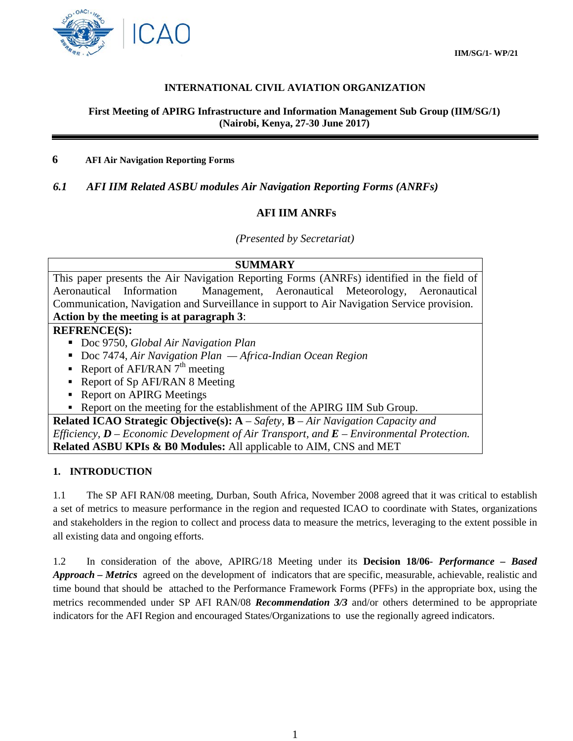



# **INTERNATIONAL CIVIL AVIATION ORGANIZATION**

**First Meeting of APIRG Infrastructure and Information Management Sub Group (IIM/SG/1) (Nairobi, Kenya, 27-30 June 2017)**

#### **6 AFI Air Navigation Reporting Forms**

## *6.1 AFI IIM Related ASBU modules Air Navigation Reporting Forms (ANRFs)*

## **AFI IIM ANRFs**

#### *(Presented by Secretariat)*

| <b>SUMMARY</b>                                                                               |
|----------------------------------------------------------------------------------------------|
| This paper presents the Air Navigation Reporting Forms (ANRFs) identified in the field of    |
| Management, Aeronautical Meteorology, Aeronautical<br>Aeronautical Information               |
| Communication, Navigation and Surveillance in support to Air Navigation Service provision.   |
| Action by the meeting is at paragraph 3:                                                     |
| <b>REFRENCE(S):</b>                                                                          |
| Doc 9750, Global Air Navigation Plan                                                         |
| Doc 7474, Air Navigation Plan $-A$ frica-Indian Ocean Region                                 |
| • Report of AFI/RAN $7th$ meeting                                                            |
| • Report of Sp AFI/RAN 8 Meeting                                                             |
| <b>Report on APIRG Meetings</b>                                                              |
| Report on the meeting for the establishment of the APIRG IIM Sub Group.                      |
| Related ICAO Strategic Objective(s): $A - Safety$ , $B - Air\ Navigation\ Capacity\ and$     |
| Efficiency, $D$ – Economic Development of Air Transport, and $E$ – Environmental Protection. |
| <b>Related ASBU KPIs &amp; B0 Modules:</b> All applicable to AIM, CNS and MET                |

#### **1. INTRODUCTION**

1.1 The SP AFI RAN/08 meeting, Durban, South Africa, November 2008 agreed that it was critical to establish a set of metrics to measure performance in the region and requested ICAO to coordinate with States, organizations and stakeholders in the region to collect and process data to measure the metrics, leveraging to the extent possible in all existing data and ongoing efforts.

1.2 In consideration of the above, APIRG/18 Meeting under its **Decision 18/06**- *Performance – Based Approach – Metrics* agreed on the development of indicators that are specific, measurable, achievable, realistic and time bound that should be attached to the Performance Framework Forms (PFFs) in the appropriate box, using the metrics recommended under SP AFI RAN/08 *Recommendation 3/3* and/or others determined to be appropriate indicators for the AFI Region and encouraged States/Organizations to use the regionally agreed indicators.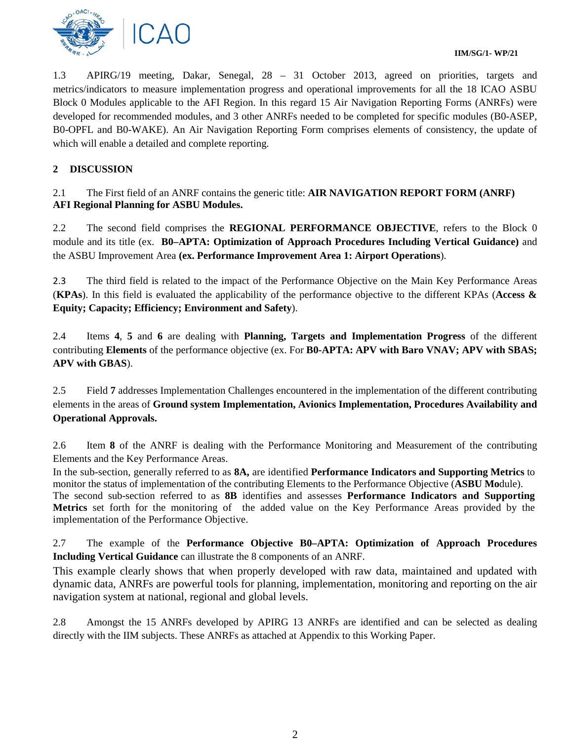

1.3 APIRG/19 meeting, Dakar, Senegal, 28 – 31 October 2013, agreed on priorities, targets and metrics/indicators to measure implementation progress and operational improvements for all the 18 ICAO ASBU Block 0 Modules applicable to the AFI Region. In this regard 15 Air Navigation Reporting Forms (ANRFs) were developed for recommended modules, and 3 other ANRFs needed to be completed for specific modules (B0-ASEP, B0-OPFL and B0-WAKE). An Air Navigation Reporting Form comprises elements of consistency, the update of which will enable a detailed and complete reporting.

## **2 DISCUSSION**

2.1 The First field of an ANRF contains the generic title: **AIR NAVIGATION REPORT FORM (ANRF) AFI Regional Planning for ASBU Modules.**

2.2 The second field comprises the **REGIONAL PERFORMANCE OBJECTIVE**, refers to the Block 0 module and its title (ex. **B0–APTA: Optimization of Approach Procedures Including Vertical Guidance)** and the ASBU Improvement Area **(ex. Performance Improvement Area 1: Airport Operations**).

2.3 The third field is related to the impact of the Performance Objective on the Main Key Performance Areas (**KPAs**). In this field is evaluated the applicability of the performance objective to the different KPAs (**Access & Equity; Capacity; Efficiency; Environment and Safety**).

2.4 Items **4**, **5** and **6** are dealing with **Planning, Targets and Implementation Progress** of the different contributing **Elements** of the performance objective (ex. For **B0-APTA: APV with Baro VNAV; APV with SBAS; APV with GBAS**).

2.5 Field **7** addresses Implementation Challenges encountered in the implementation of the different contributing elements in the areas of **Ground system Implementation, Avionics Implementation, Procedures Availability and Operational Approvals.**

2.6 Item **8** of the ANRF is dealing with the Performance Monitoring and Measurement of the contributing Elements and the Key Performance Areas.

In the sub-section, generally referred to as **8A,** are identified **Performance Indicators and Supporting Metrics** to monitor the status of implementation of the contributing Elements to the Performance Objective (**ASBU Mo**dule). The second sub-section referred to as **8B** identifies and assesses **Performance Indicators and Supporting Metrics** set forth for the monitoring of the added value on the Key Performance Areas provided by the implementation of the Performance Objective.

2.7 The example of the **Performance Objective B0–APTA: Optimization of Approach Procedures Including Vertical Guidance** can illustrate the 8 components of an ANRF.

This example clearly shows that when properly developed with raw data, maintained and updated with dynamic data, ANRFs are powerful tools for planning, implementation, monitoring and reporting on the air navigation system at national, regional and global levels.

2.8 Amongst the 15 ANRFs developed by APIRG 13 ANRFs are identified and can be selected as dealing directly with the IIM subjects. These ANRFs as attached at Appendix to this Working Paper.